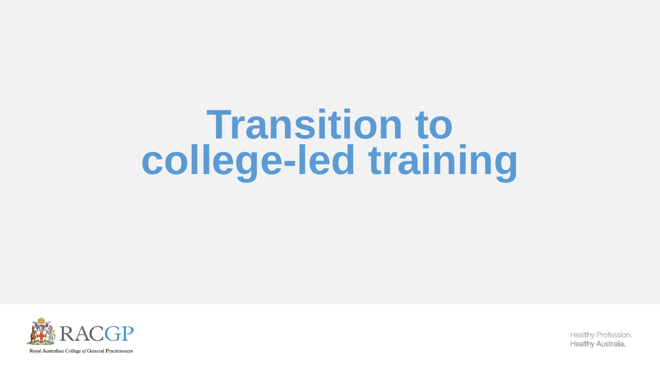# **Transition to college-led training**

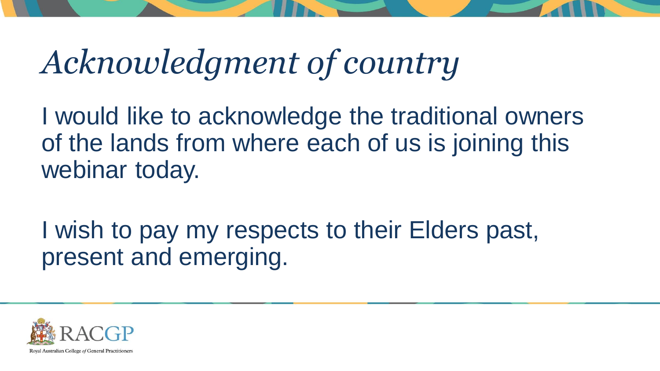## *Acknowledgment of country*

I would like to acknowledge the traditional owners of the lands from where each of us is joining this webinar today.

I wish to pay my respects to their Elders past, present and emerging.

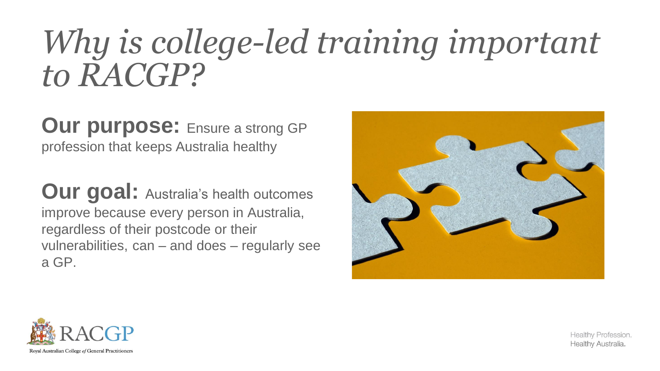## *Why is college-led training important to RACGP?*

**Our purpose: Ensure a strong GP** profession that keeps Australia healthy

**Our goal:** Australia's health outcomes improve because every person in Australia, regardless of their postcode or their vulnerabilities, can – and does – regularly see a GP.



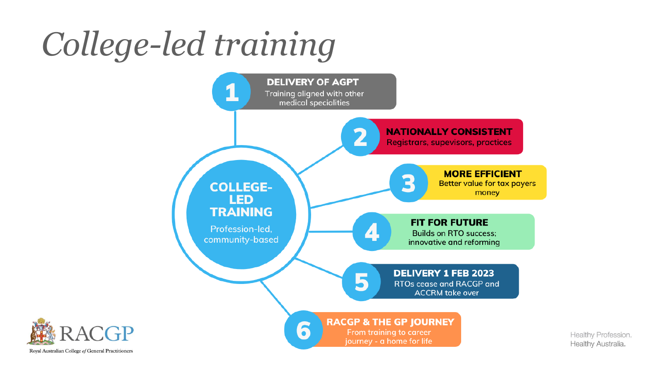# *College-led training*



Royal Australian College of General Practitioners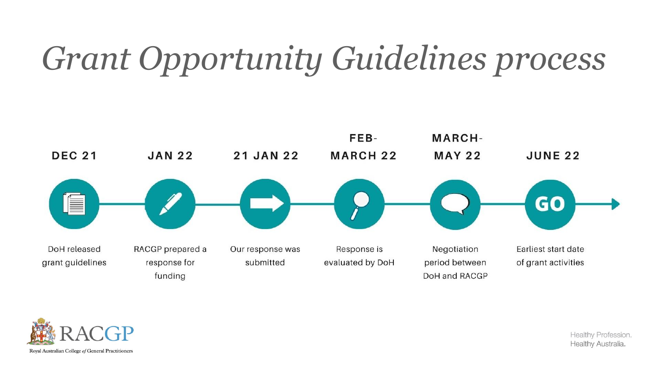## *Grant Opportunity Guidelines process*



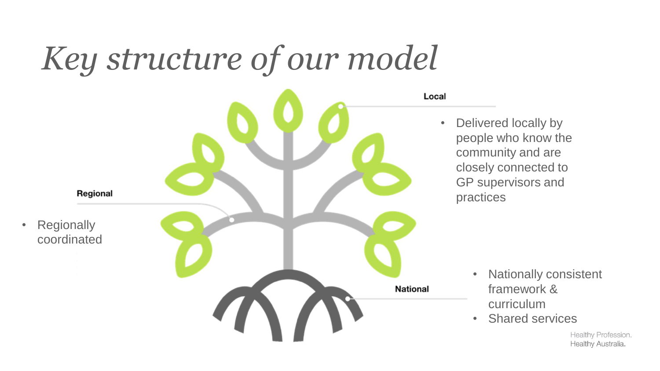## *Key structure of our model*



• Delivered locally by people who know the community and are closely connected to GP supervisors and practices

- Nationally consistent framework & curriculum
- Shared services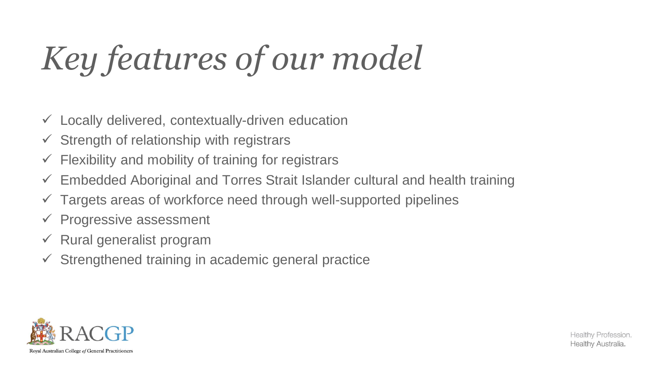# *Key features of our model*

- $\checkmark$  Locally delivered, contextually-driven education
- $\checkmark$  Strength of relationship with registrars
- $\checkmark$  Flexibility and mobility of training for registrars
- $\checkmark$  Embedded Aboriginal and Torres Strait Islander cultural and health training
- $\checkmark$  Targets areas of workforce need through well-supported pipelines
- $\checkmark$  Progressive assessment
- $\checkmark$  Rural generalist program
- $\checkmark$  Strengthened training in academic general practice

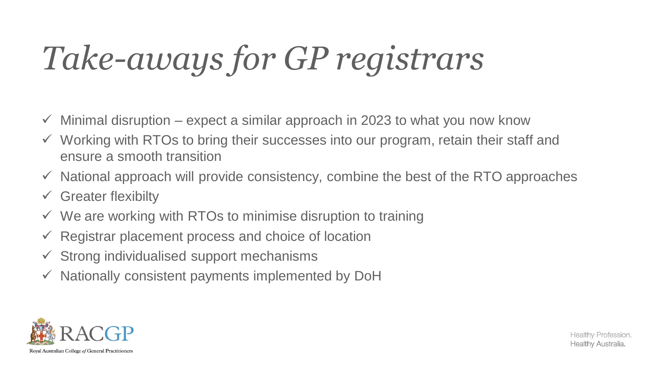# *Take-aways for GP registrars*

- $\checkmark$  Minimal disruption expect a similar approach in 2023 to what you now know
- ✓ Working with RTOs to bring their successes into our program, retain their staff and ensure a smooth transition
- $\checkmark$  National approach will provide consistency, combine the best of the RTO approaches
- $\checkmark$  Greater flexibilty
- $\checkmark$  We are working with RTOs to minimise disruption to training
- $\checkmark$  Registrar placement process and choice of location
- $\checkmark$  Strong individualised support mechanisms
- $\checkmark$  Nationally consistent payments implemented by DoH

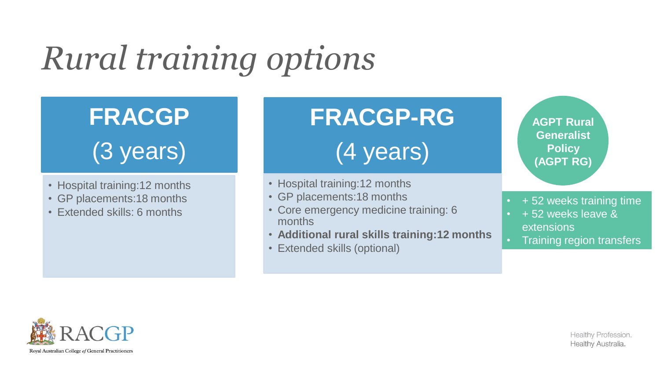# *Rural training options*

#### **FRACGP** (3 years)

- Hospital training:12 months
- GP placements:18 months
- Extended skills: 6 months

## **FRACGP-RG**  (4 years)

- Hospital training:12 months
- GP placements:18 months
- Core emergency medicine training: 6 months
- **Additional rural skills training:12 months**
- Extended skills (optional)

**AGPT Rural Generalist Policy (AGPT RG)**

- $\cdot$  + 52 weeks training time
- + 52 weeks leave & extensions
- Training region transfers